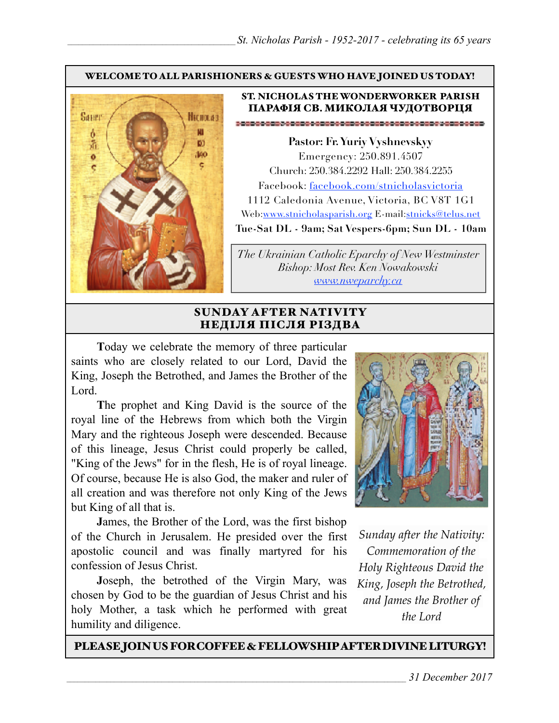#### WELCOME TO ALL PARISHIONERS & GUESTS WHO HAVE JOINED US TODAY!



#### ST. NICHOLAS THE WONDERWORKER PARISH ПАРАФІЯ СВ. МИКОЛАЯ ЧУДОТВОРЦЯ

**Pastor: Fr. Yuriy Vyshnevskyy** Emergency: 250.891.4507 Church: 250.384.2292 Hall: 250.384.2255 Facebook: facebook.com/stnicholasvictoria 1112 Caledonia Avenue, Victoria, BC V8T 1G1 Web[:www.stnicholasparish.org](http://www.stnicholasparish.org) E-mail:[stnicks@telus.net](mailto:stnicks@telus.net) **Tue-Sat DL - 9am; Sat Vespers-6pm; Sun DL - 10am**

*The Ukrainian Catholic Eparchy of New Westminster Bishop: Most Rev. Ken Nowakowski [www.nweparchy.ca](http://www.nweparchy.ca)*

## SUNDAY AFTER NATIVITY НЕДІЛЯ ПІСЛЯ РІЗДВА

**T**oday we celebrate the memory of three particular saints who are closely related to our Lord, David the King, Joseph the Betrothed, and James the Brother of the Lord.

**T**he prophet and King David is the source of the royal line of the Hebrews from which both the Virgin Mary and the righteous Joseph were descended. Because of this lineage, Jesus Christ could properly be called, "King of the Jews" for in the flesh, He is of royal lineage. Of course, because He is also God, the maker and ruler of all creation and was therefore not only King of the Jews but King of all that is.

**J**ames, the Brother of the Lord, was the first bishop of the Church in Jerusalem. He presided over the first apostolic council and was finally martyred for his confession of Jesus Christ.

**J**oseph, the betrothed of the Virgin Mary, was chosen by God to be the guardian of Jesus Christ and his holy Mother, a task which he performed with great humility and diligence.



*Sunday after the Nativity: Commemoration of the Holy Righteous David the King, Joseph the Betrothed, and James the Brother of the Lord*

PLEASE JOIN US FOR COFFEE & FELLOWSHIP AFTER DIVINE LITURGY!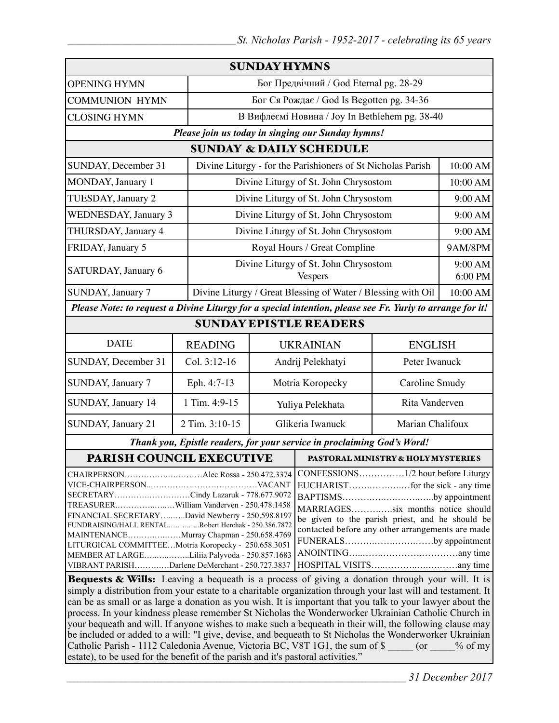|                                                                                                                                                                                                                                                                                                                                                                                                       |                                                                                                                                                                                                                                                                                                           | <b>SUNDAY HYMNS</b>                    |                                                                         |                                                              |                    |
|-------------------------------------------------------------------------------------------------------------------------------------------------------------------------------------------------------------------------------------------------------------------------------------------------------------------------------------------------------------------------------------------------------|-----------------------------------------------------------------------------------------------------------------------------------------------------------------------------------------------------------------------------------------------------------------------------------------------------------|----------------------------------------|-------------------------------------------------------------------------|--------------------------------------------------------------|--------------------|
| <b>OPENING HYMN</b>                                                                                                                                                                                                                                                                                                                                                                                   |                                                                                                                                                                                                                                                                                                           | Бог Предвічний / God Eternal pg. 28-29 |                                                                         |                                                              |                    |
| <b>COMMUNION HYMN</b>                                                                                                                                                                                                                                                                                                                                                                                 |                                                                                                                                                                                                                                                                                                           |                                        | Бог Ся Рождає / God Is Begotten pg. 34-36                               |                                                              |                    |
| <b>CLOSING HYMN</b>                                                                                                                                                                                                                                                                                                                                                                                   |                                                                                                                                                                                                                                                                                                           |                                        | В Вифлеємі Новина / Joy In Bethlehem pg. 38-40                          |                                                              |                    |
| Please join us today in singing our Sunday hymns!                                                                                                                                                                                                                                                                                                                                                     |                                                                                                                                                                                                                                                                                                           |                                        |                                                                         |                                                              |                    |
| <b>SUNDAY &amp; DAILY SCHEDULE</b>                                                                                                                                                                                                                                                                                                                                                                    |                                                                                                                                                                                                                                                                                                           |                                        |                                                                         |                                                              |                    |
| SUNDAY, December 31                                                                                                                                                                                                                                                                                                                                                                                   |                                                                                                                                                                                                                                                                                                           |                                        | Divine Liturgy - for the Parishioners of St Nicholas Parish<br>10:00 AM |                                                              |                    |
| MONDAY, January 1                                                                                                                                                                                                                                                                                                                                                                                     |                                                                                                                                                                                                                                                                                                           |                                        | Divine Liturgy of St. John Chrysostom                                   |                                                              | 10:00 AM           |
| TUESDAY, January 2                                                                                                                                                                                                                                                                                                                                                                                    |                                                                                                                                                                                                                                                                                                           |                                        | Divine Liturgy of St. John Chrysostom                                   |                                                              | 9:00 AM            |
| <b>WEDNESDAY</b> , January 3                                                                                                                                                                                                                                                                                                                                                                          |                                                                                                                                                                                                                                                                                                           |                                        | Divine Liturgy of St. John Chrysostom                                   |                                                              | 9:00 AM            |
| THURSDAY, January 4                                                                                                                                                                                                                                                                                                                                                                                   |                                                                                                                                                                                                                                                                                                           | Divine Liturgy of St. John Chrysostom  |                                                                         |                                                              | 9:00 AM            |
| FRIDAY, January 5                                                                                                                                                                                                                                                                                                                                                                                     |                                                                                                                                                                                                                                                                                                           | Royal Hours / Great Compline           |                                                                         | 9AM/8PM                                                      |                    |
| SATURDAY, January 6                                                                                                                                                                                                                                                                                                                                                                                   |                                                                                                                                                                                                                                                                                                           |                                        | Divine Liturgy of St. John Chrysostom<br>Vespers                        |                                                              | 9:00 AM<br>6:00 PM |
| SUNDAY, January 7                                                                                                                                                                                                                                                                                                                                                                                     |                                                                                                                                                                                                                                                                                                           |                                        |                                                                         | Divine Liturgy / Great Blessing of Water / Blessing with Oil |                    |
| Please Note: to request a Divine Liturgy for a special intention, please see Fr. Yuriy to arrange for it!                                                                                                                                                                                                                                                                                             |                                                                                                                                                                                                                                                                                                           |                                        |                                                                         |                                                              |                    |
| <b>SUNDAY EPISTLE READERS</b>                                                                                                                                                                                                                                                                                                                                                                         |                                                                                                                                                                                                                                                                                                           |                                        |                                                                         |                                                              |                    |
| <b>DATE</b>                                                                                                                                                                                                                                                                                                                                                                                           | <b>READING</b>                                                                                                                                                                                                                                                                                            | <b>UKRAINIAN</b>                       |                                                                         | <b>ENGLISH</b>                                               |                    |
| SUNDAY, December 31                                                                                                                                                                                                                                                                                                                                                                                   | Col. 3:12-16                                                                                                                                                                                                                                                                                              | Andrij Pelekhatyi                      |                                                                         | Peter Iwanuck                                                |                    |
| SUNDAY, January 7                                                                                                                                                                                                                                                                                                                                                                                     | Eph. 4:7-13                                                                                                                                                                                                                                                                                               | Motria Koropecky                       |                                                                         | Caroline Smudy                                               |                    |
| SUNDAY, January 14                                                                                                                                                                                                                                                                                                                                                                                    | 1 Tim. 4:9-15                                                                                                                                                                                                                                                                                             | Yuliya Pelekhata                       |                                                                         | Rita Vanderven                                               |                    |
| SUNDAY, January 21                                                                                                                                                                                                                                                                                                                                                                                    | 2 Tim. 3:10-15                                                                                                                                                                                                                                                                                            | Glikeria Iwanuck                       |                                                                         | Marian Chalifoux                                             |                    |
| Thank you, Epistle readers, for your service in proclaiming God's Word!                                                                                                                                                                                                                                                                                                                               |                                                                                                                                                                                                                                                                                                           |                                        |                                                                         |                                                              |                    |
| <b>PARISH COUNCIL EXECUTIVE</b>                                                                                                                                                                                                                                                                                                                                                                       |                                                                                                                                                                                                                                                                                                           |                                        | <b>PASTORAL MINISTRY &amp; HOLY MYSTERIES</b>                           |                                                              |                    |
| SECRETARYCindy Lazaruk - 778.677.9072<br>TREASURERWilliam Vanderven - 250.478.1458<br>FINANCIAL SECRETARYDavid Newberry - 250.598.8197<br>FUNDRAISING/HALL RENTALRobert Herchak - 250.386.7872<br>MAINTENANCEMurray Chapman - 250.658.4769<br>LITURGICAL COMMITTEEMotria Koropecky - 250.658.3051<br>MEMBER AT LARGELiliia Palyvoda - 250.857.1683<br>VIBRANT PARISHDarlene DeMerchant - 250.727.3837 | BAPTISMSby appointment<br>MARRIAGESsix months notice should<br>be given to the parish priest, and he should be<br>contacted before any other arrangements are made<br>FUNERALSby appointment<br><b>Bequests &amp; Wills:</b> Leaving a bequeath is a process of giving a donation through your will It is |                                        |                                                                         |                                                              |                    |

Bequests & Wills: Leaving a bequeath is a process of giving a donation through your will. It is simply a distribution from your estate to a charitable organization through your last will and testament. It can be as small or as large a donation as you wish. It is important that you talk to your lawyer about the process. In your kindness please remember St Nicholas the Wonderworker Ukrainian Catholic Church in your bequeath and will. If anyone wishes to make such a bequeath in their will, the following clause may be included or added to a will: "I give, devise, and bequeath to St Nicholas the Wonderworker Ukrainian Catholic Parish - 1112 Caledonia Avenue, Victoria BC, V8T 1G1, the sum of \$ \_\_\_\_ (or \_\_\_\_% of my estate), to be used for the benefit of the parish and it's pastoral activities."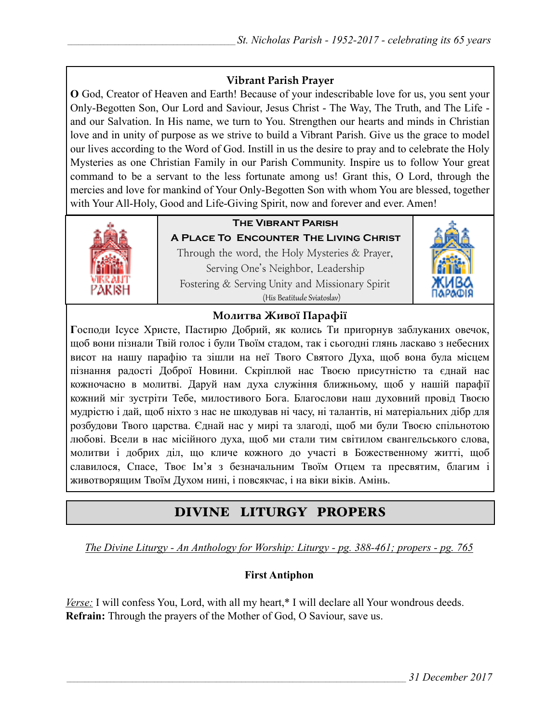## **Vibrant Parish Prayer**

**O** God, Creator of Heaven and Earth! Because of your indescribable love for us, you sent your Only-Begotten Son, Our Lord and Saviour, Jesus Christ - The Way, The Truth, and The Life and our Salvation. In His name, we turn to You. Strengthen our hearts and minds in Christian love and in unity of purpose as we strive to build a Vibrant Parish. Give us the grace to model our lives according to the Word of God. Instill in us the desire to pray and to celebrate the Holy Mysteries as one Christian Family in our Parish Community. Inspire us to follow Your great command to be a servant to the less fortunate among us! Grant this, O Lord, through the mercies and love for mankind of Your Only-Begotten Son with whom You are blessed, together with Your All-Holy, Good and Life-Giving Spirit, now and forever and ever. Amen!



# **The Vibrant Parish**

**A Place To Encounter The Living Christ** Through the word, the Holy Mysteries & Prayer, Serving One's Neighbor, Leadership Fostering & Serving Unity and Missionary Spirit (His Beatitude Sviatoslav)



## **Молитва Живої Парафії**

**Г**осподи Ісусе Христе, Пастирю Добрий, як колись Ти пригорнув заблуканих овечок, щоб вони пізнали Твій голос і були Твоїм стадом, так і сьогодні глянь ласкаво з небесних висот на нашу парафію та зішли на неї Твого Святого Духа, щоб вона була місцем пізнання радості Доброї Новини. Скріплюй нас Твоєю присутністю та єднай нас кожночасно в молитві. Даруй нам духа служіння ближньому, щоб у нашій парафії кожний міг зустріти Тебе, милостивого Бога. Благослови наш духовний провід Твоєю мудрістю і дай, щоб ніхто з нас не шкодував ні часу, ні талантів, ні матеріальних дібр для розбудови Твого царства. Єднай нас у мирі та злагоді, щоб ми були Твоєю спільнотою любові. Всели в нас місійного духа, щоб ми стали тим світилом євангельського слова, молитви і добрих діл, що кличе кожного до участі в Божественному житті, щоб славилося, Спасе, Твоє Ім'я з безначальним Твоїм Отцем та пресвятим, благим і животворящим Твоїм Духом нині, і повсякчас, і на віки віків. Амінь.

# DIVINE LITURGY PROPERS

*The Divine Liturgy - An Anthology for Worship: Liturgy - pg. 388-461; propers - pg. 765* 

## **First Antiphon**

*Verse:* I will confess You, Lord, with all my heart,\* I will declare all Your wondrous deeds. **Refrain:** Through the prayers of the Mother of God, O Saviour, save us.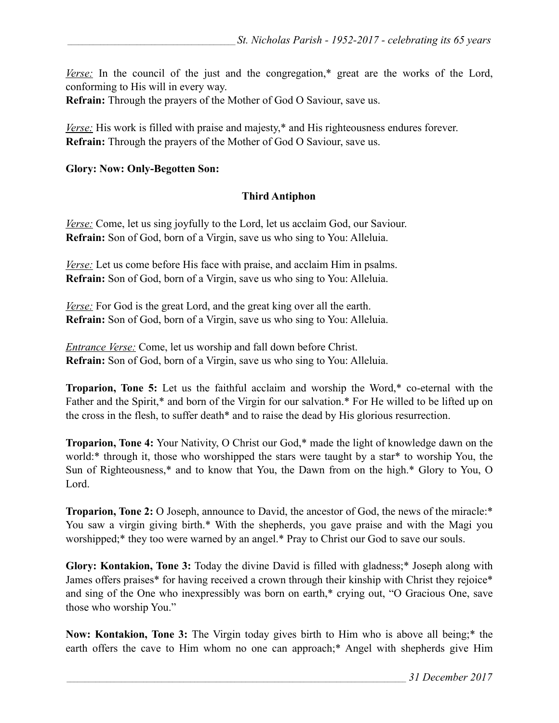*Verse:* In the council of the just and the congregation,\* great are the works of the Lord, conforming to His will in every way.

**Refrain:** Through the prayers of the Mother of God O Saviour, save us.

*Verse:* His work is filled with praise and majesty,<sup>\*</sup> and His righteousness endures forever. **Refrain:** Through the prayers of the Mother of God O Saviour, save us.

#### **Glory: Now: Only-Begotten Son:**

### **Third Antiphon**

*Verse:* Come, let us sing joyfully to the Lord, let us acclaim God, our Saviour. **Refrain:** Son of God, born of a Virgin, save us who sing to You: Alleluia.

*Verse:* Let us come before His face with praise, and acclaim Him in psalms. **Refrain:** Son of God, born of a Virgin, save us who sing to You: Alleluia.

*Verse:* For God is the great Lord, and the great king over all the earth. **Refrain:** Son of God, born of a Virgin, save us who sing to You: Alleluia.

*Entrance Verse:* Come, let us worship and fall down before Christ. **Refrain:** Son of God, born of a Virgin, save us who sing to You: Alleluia.

**Troparion, Tone 5:** Let us the faithful acclaim and worship the Word,\* co-eternal with the Father and the Spirit,\* and born of the Virgin for our salvation.\* For He willed to be lifted up on the cross in the flesh, to suffer death\* and to raise the dead by His glorious resurrection.

**Troparion, Tone 4:** Your Nativity, O Christ our God,\* made the light of knowledge dawn on the world:\* through it, those who worshipped the stars were taught by a star\* to worship You, the Sun of Righteousness,\* and to know that You, the Dawn from on the high.\* Glory to You, O Lord.

**Troparion, Tone 2:** O Joseph, announce to David, the ancestor of God, the news of the miracle:\* You saw a virgin giving birth.\* With the shepherds, you gave praise and with the Magi you worshipped;\* they too were warned by an angel.\* Pray to Christ our God to save our souls.

**Glory: Kontakion, Tone 3:** Today the divine David is filled with gladness;\* Joseph along with James offers praises<sup>\*</sup> for having received a crown through their kinship with Christ they rejoice<sup>\*</sup> and sing of the One who inexpressibly was born on earth,\* crying out, "O Gracious One, save those who worship You."

**Now: Kontakion, Tone 3:** The Virgin today gives birth to Him who is above all being;\* the earth offers the cave to Him whom no one can approach;\* Angel with shepherds give Him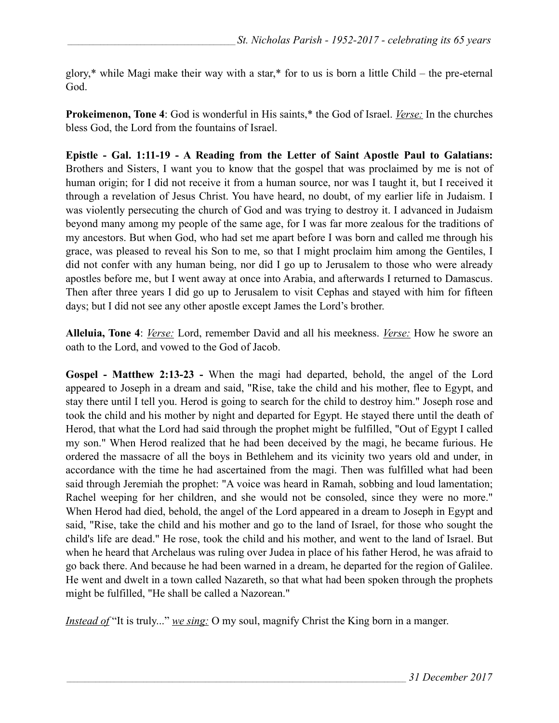glory,\* while Magi make their way with a star,\* for to us is born a little Child – the pre-eternal God.

**Prokeimenon, Tone 4**: God is wonderful in His saints,\* the God of Israel. *Verse:* In the churches bless God, the Lord from the fountains of Israel.

**Epistle - Gal. 1:11-19 - A Reading from the Letter of Saint Apostle Paul to Galatians:** Brothers and Sisters, I want you to know that the gospel that was proclaimed by me is not of human origin; for I did not receive it from a human source, nor was I taught it, but I received it through a revelation of Jesus Christ. You have heard, no doubt, of my earlier life in Judaism. I was violently persecuting the church of God and was trying to destroy it. I advanced in Judaism beyond many among my people of the same age, for I was far more zealous for the traditions of my ancestors. But when God, who had set me apart before I was born and called me through his grace, was pleased to reveal his Son to me, so that I might proclaim him among the Gentiles, I did not confer with any human being, nor did I go up to Jerusalem to those who were already apostles before me, but I went away at once into Arabia, and afterwards I returned to Damascus. Then after three years I did go up to Jerusalem to visit Cephas and stayed with him for fifteen days; but I did not see any other apostle except James the Lord's brother.

**Alleluia, Tone 4**: *Verse:* Lord, remember David and all his meekness. *Verse:* How he swore an oath to the Lord, and vowed to the God of Jacob.

**Gospel - Matthew 2:13-23 -** When the magi had departed, behold, the angel of the Lord appeared to Joseph in a dream and said, "Rise, take the child and his mother, flee to Egypt, and stay there until I tell you. Herod is going to search for the child to destroy him." Joseph rose and took the child and his mother by night and departed for Egypt. He stayed there until the death of Herod, that what the Lord had said through the prophet might be fulfilled, "Out of Egypt I called my son." When Herod realized that he had been deceived by the magi, he became furious. He ordered the massacre of all the boys in Bethlehem and its vicinity two years old and under, in accordance with the time he had ascertained from the magi. Then was fulfilled what had been said through Jeremiah the prophet: "A voice was heard in Ramah, sobbing and loud lamentation; Rachel weeping for her children, and she would not be consoled, since they were no more." When Herod had died, behold, the angel of the Lord appeared in a dream to Joseph in Egypt and said, "Rise, take the child and his mother and go to the land of Israel, for those who sought the child's life are dead." He rose, took the child and his mother, and went to the land of Israel. But when he heard that Archelaus was ruling over Judea in place of his father Herod, he was afraid to go back there. And because he had been warned in a dream, he departed for the region of Galilee. He went and dwelt in a town called Nazareth, so that what had been spoken through the prophets might be fulfilled, "He shall be called a Nazorean."

*Instead of* "It is truly..." *we sing:* O my soul, magnify Christ the King born in a manger.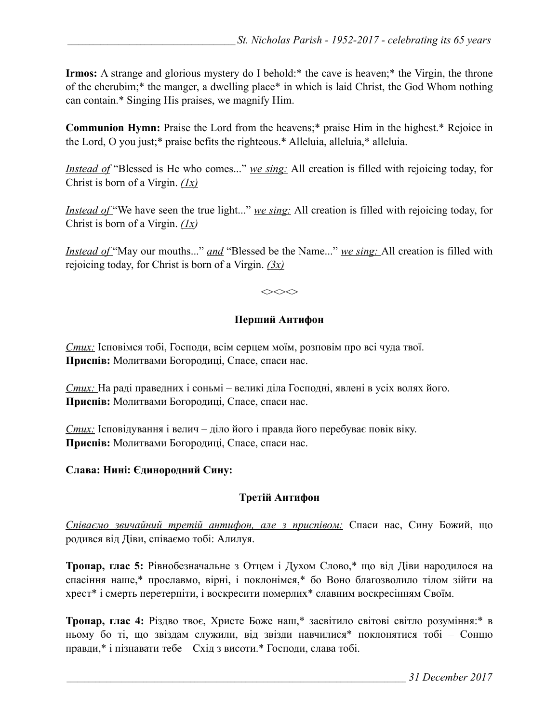**Irmos:** A strange and glorious mystery do I behold:\* the cave is heaven;\* the Virgin, the throne of the cherubim;\* the manger, a dwelling place\* in which is laid Christ, the God Whom nothing can contain.\* Singing His praises, we magnify Him.

**Communion Hymn:** Praise the Lord from the heavens;\* praise Him in the highest.\* Rejoice in the Lord, O you just;\* praise befits the righteous.\* Alleluia, alleluia,\* alleluia.

*Instead of* "Blessed is He who comes..." *we sing:* All creation is filled with rejoicing today, for Christ is born of a Virgin. *(1х)*

*Instead of* "We have seen the true light..." *we sing*: All creation is filled with rejoicing today, for Christ is born of a Virgin. *(1х)* 

*Instead of* "May our mouths..." *and* "Blessed be the Name..." *we sing:* All creation is filled with rejoicing today, for Christ is born of a Virgin. *(3x)*

 $\Leftrightarrow$ 

### **Перший Антифон**

*Стих:* Ісповімся тобі, Господи, всім серцем моїм, розповім про всі чуда твої. **Приспів:** Молитвами Богородиці, Спасе, спаси нас.

*Стих:* На раді праведних і соньмі – великі діла Господні, явлені в усіх волях його. **Приспів:** Молитвами Богородиці, Спасе, спаси нас.

*Стих:* Ісповідування і велич – діло його і правда його перебуває повік віку. **Приспів:** Молитвами Богородиці, Спасе, спаси нас.

#### **Слава: Нині: Єдинородний Сину:**

## **Третій Антифон**

*Співаємо звичайний третій антифон, але з приспівом:* Спаси нас, Сину Божий, що родився від Діви, співаємо тобі: Алилуя.

**Тропар, глас 5:** Рівнобезначальне з Отцем і Духом Слово,\* що від Діви народилося на спасіння наше,\* прославмо, вірні, і поклонімся,\* бо Воно благозволило тілом зійти на хрест\* і смерть перетерпіти, і воскресити померлих\* славним воскресінням Своїм.

**Тропар, глас 4:** Різдво твоє, Христе Боже наш,\* засвітило світові світло розуміння:\* в ньому бо ті, що звіздам служили, від звізди навчилися\* поклонятися тобі – Сонцю правди,\* і пізнавати тебе – Схід з висоти.\* Господи, слава тобі.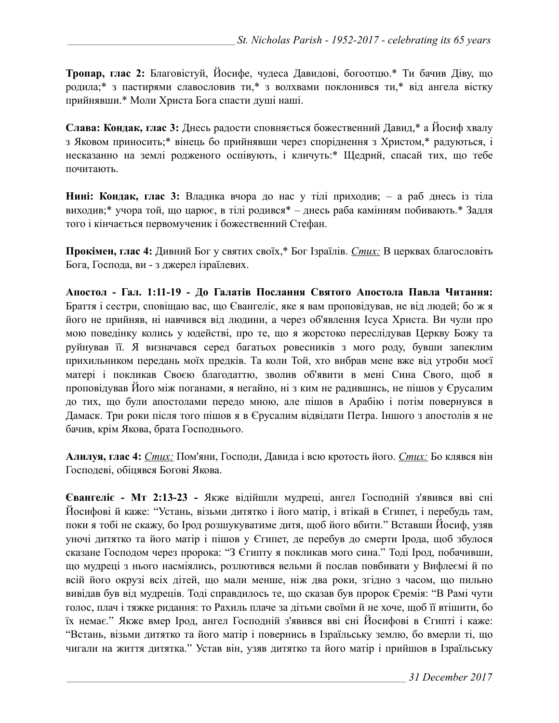**Тропар, глас 2:** Благовістуй, Йосифе, чудеса Давидові, богоотцю.\* Ти бачив Дiву, що родила;\* з пастирями славословив ти,\* з волхвами поклонився ти,\* від ангела вістку прийнявши.\* Моли Христа Бога спaсти душі наші.

**Слава: Кондак, глас 3:** Днесь радости сповняється божественний Давид,\* а Йосиф хвалу з Яковом приносить;\* вінець бо прийнявши через споріднення з Христом,\* радуються, і несказанно на землі родженого оспівують, і кличуть:\* Щедрий, спасай тих, що тебе почитають.

**Hині: Кондак, глас 3:** Владика вчора до нас у тілі приходив; – а раб днесь із тіла виходив;\* учора той, що царює, в тілі родився\* – днесь раба камінням побивають.\* Задля того і кінчається первомученик і божественний Стефан.

**Прокімен, глас 4:** Дивний Бог у святих своїх,\* Бог Ізраїлів. *Стих:* В церквах благословіть Бога, Господа, ви - з джерел ізраїлевих.

**Апостол - Гал. 1:11-19 - До Галатів Послання Святого Апостола Павла Читання:**  Браття і сестри, сповіщаю вас, що Євангеліє, яке я вам проповідував, не від людей; бо ж я його не прийняв, ні навчився від людини, а через об'явлення Ісуса Христа. Ви чули про мою поведінку колись у юдействі, про те, що я жорстоко переслідував Церкву Божу та руйнував її. Я визначався серед багатьох ровесників з мого роду, бувши запеклим прихильником передань моїх предків. Та коли Той, хто вибрав мене вже від утроби моєї матері і покликав Своєю благодаттю, зволив об'явити в мені Сина Свого, щоб я проповідував Його між поганами, я негайно, ні з ким не радившись, не пішов у Єрусалим до тих, що були апостолами передо мною, але пішов в Арабію і потім повернувся в Дамаск. Три роки після того пішов я в Єрусалим відвідати Петра. Іншого з апостолів я не бачив, крім Якова, брата Господнього.

**Алилуя, глас 4:** *Стих:* Пом'яни, Господи, Давида і всю кротость його. *Стих:* Бо клявся він Господеві, обіцявся Богові Якова.

**Євангеліє - Мт 2:13-23 -** Якже відійшли мудреці, ангел Господній з'явився вві сні Йосифові й каже: "Устань, візьми дитятко і його матір, і втікай в Єгипет, і перебудь там, поки я тобі не скажу, бо Ірод розшукуватиме дитя, щоб його вбити." Вставши Йосиф, узяв уночі дитятко та його матір і пішов у Єгипет, де перебув до смерти Ірода, щоб збулося сказане Господом через пророка: "З Єгипту я покликав мого сина." Тоді Ірод, побачивши, що мудреці з нього насміялись, розлютився вельми й послав повбивати у Вифлеємі й по всій його окрузі всіх дітей, що мали менше, ніж два роки, згідно з часом, що пильно вивідав був від мудреців. Тоді справдилось те, що сказав був пророк Єремія: "В Рамі чути голос, плач і тяжке ридання: то Рахиль плаче за дітьми своїми й не хоче, щоб її втішити, бо їх немає." Якже вмер Ірод, ангел Господній з'явився вві сні Йосифові в Єгипті і каже: "Встань, візьми дитятко та його матір і повернись в Ізраїльську землю, бо вмерли ті, що чигали на життя дитятка." Устав він, узяв дитятко та його матір і прийшов в Ізраїльську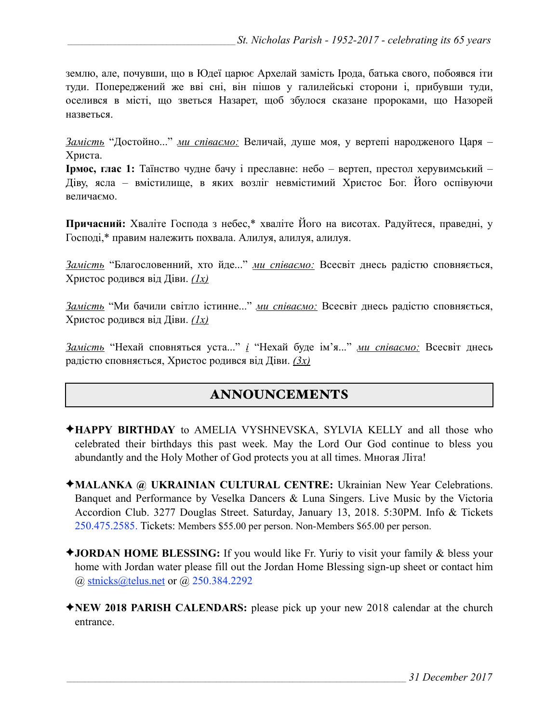землю, але, почувши, що в Юдеї царює Архелай замість Ірода, батька свого, побоявся іти туди. Попереджений же вві сні, він пішов у галилейські сторони і, прибувши туди, оселився в місті, що зветься Назарет, щоб збулося сказане пророками, що Назорей назветься.

*Замість* "Достойно..." *ми співаємо:* Величай, душе моя, у вертепі народженого Царя – Христа.

**Ірмос, глас 1:** Таїнство чудне бачу і преславне: небо – вертеп, престол херувимський – Діву, ясла – вмістилище, в яких возліг невмістимий Христос Бог. Його оспівуючи величаємо.

**Причасний:** Хваліте Господа з небес,\* хваліте Його на висотах. Радуйтеся, праведні, у Господі,\* правим належить похвала. Алилуя, алилуя, алилуя.

*Замість* "Благословенний, хто йде..." *ми співаємо:* Всесвіт днесь радістю сповняється, Христос родився від Діви. *(1х)*

*Замість* "Ми бачили світло істинне..." *ми співаємо:* Всесвіт днесь радістю сповняється, Христос родився від Діви. *(1х)*

*Замість* "Нехай сповняться уста..." *і* "Нехай буде ім'я..." *ми співаємо:* Всесвіт днесь радістю сповняється, Христос родився від Діви. *(3х)*

# ANNOUNCEMENTS

- ✦**HAPPY BIRTHDAY** to AMELIA VYSHNEVSKA, SYLVIA KELLY and all those who celebrated their birthdays this past week. May the Lord Our God continue to bless you abundantly and the Holy Mother of God protects you at all times. Многая Літа!
- ✦**MALANKA @ UKRAINIAN CULTURAL CENTRE:** Ukrainian New Year Celebrations. Banquet and Performance by Veselka Dancers & Luna Singers. Live Music by the Victoria Accordion Club. 3277 Douglas Street. Saturday, January 13, 2018. 5:30PM. Info & Tickets 250.475.2585. Tickets: Members \$55.00 per person. Non-Members \$65.00 per person.
- ✦**JORDAN HOME BLESSING:** If you would like Fr. Yuriy to visit your family & bless your home with Jordan water please fill out the Jordan Home Blessing sign-up sheet or contact him @ [stnicks@telus.net](mailto:stnicks@telus.net) or @ 250.384.2292
- ✦**NEW 2018 PARISH CALENDARS:** please pick up your new 2018 calendar at the church entrance.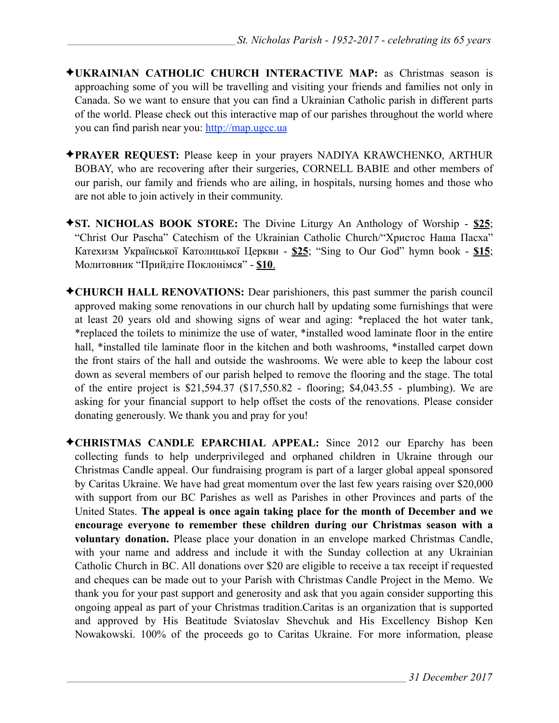- ✦**UKRAINIAN CATHOLIC CHURCH INTERACTIVE MAP:** as Christmas season is approaching some of you will be travelling and visiting your friends and families not only in Canada. So we want to ensure that you can find a Ukrainian Catholic parish in different parts of the world. Please check out this interactive map of our parishes throughout the world where you can find parish near you: [http://map.ugcc.ua](http://map.ugcc.ua/)
- ✦**PRAYER REQUEST:** Please keep in your prayers NADIYA KRAWCHENKO, ARTHUR BOBAY, who are recovering after their surgeries, CORNELL BABIE and other members of our parish, our family and friends who are ailing, in hospitals, nursing homes and those who are not able to join actively in their community.
- ✦**ST. NICHOLAS BOOK STORE:** The Divine Liturgy An Anthology of Worship **\$25**; "Christ Our Pascha" Catechism of the Ukrainian Catholic Church/"Христос Наша Пасха" Катехизм Української Католицької Церкви - **\$25**; "Sing to Our God" hymn book - **\$15**; Молитовник "Прийдіте Поклонімся" - **\$10**.
- ✦**CHURCH HALL RENOVATIONS:** Dear parishioners, this past summer the parish council approved making some renovations in our church hall by updating some furnishings that were at least 20 years old and showing signs of wear and aging: \*replaced the hot water tank, \*replaced the toilets to minimize the use of water, \*installed wood laminate floor in the entire hall, \*installed tile laminate floor in the kitchen and both washrooms, \*installed carpet down the front stairs of the hall and outside the washrooms. We were able to keep the labour cost down as several members of our parish helped to remove the flooring and the stage. The total of the entire project is \$21,594.37 (\$17,550.82 - flooring; \$4,043.55 - plumbing). We are asking for your financial support to help offset the costs of the renovations. Please consider donating generously. We thank you and pray for you!
- ✦**CHRISTMAS CANDLE EPARCHIAL APPEAL:** Since 2012 our Eparchy has been collecting funds to help underprivileged and orphaned children in Ukraine through our Christmas Candle appeal. Our fundraising program is part of a larger global appeal sponsored by Caritas Ukraine. We have had great momentum over the last few years raising over \$20,000 with support from our BC Parishes as well as Parishes in other Provinces and parts of the United States. **The appeal is once again taking place for the month of December and we encourage everyone to remember these children during our Christmas season with a voluntary donation.** Please place your donation in an envelope marked Christmas Candle, with your name and address and include it with the Sunday collection at any Ukrainian Catholic Church in BC. All donations over \$20 are eligible to receive a tax receipt if requested and cheques can be made out to your Parish with Christmas Candle Project in the Memo. We thank you for your past support and generosity and ask that you again consider supporting this ongoing appeal as part of your Christmas tradition.Caritas is an organization that is supported and approved by His Beatitude Sviatoslav Shevchuk and His Excellency Bishop Ken Nowakowski. 100% of the proceeds go to Caritas Ukraine. For more information, please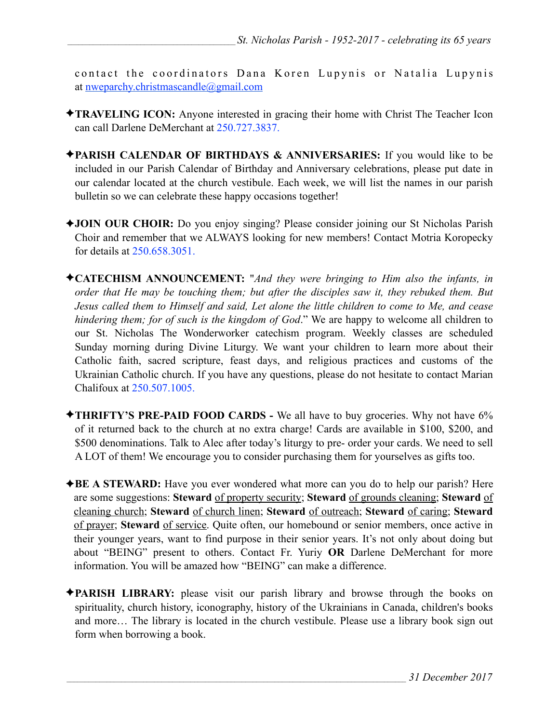contact the coordinators Dana Koren Lupynis or Natalia Lupynis at [nweparchy.christmascandle@gmail.com](mailto:nweparchy.christmascandle@gmail.com)

- ✦**TRAVELING ICON:** Anyone interested in gracing their home with Christ The Teacher Icon can call Darlene DeMerchant at 250.727.3837.
- ✦**PARISH CALENDAR OF BIRTHDAYS & ANNIVERSARIES:** If you would like to be included in our Parish Calendar of Birthday and Anniversary celebrations, please put date in our calendar located at the church vestibule. Each week, we will list the names in our parish bulletin so we can celebrate these happy occasions together!
- ✦**JOIN OUR CHOIR:** Do you enjoy singing? Please consider joining our St Nicholas Parish Choir and remember that we ALWAYS looking for new members! Contact Motria Koropecky for details at 250.658.3051.
- ✦**CATECHISM ANNOUNCEMENT:** "*And they were bringing to Him also the infants, in order that He may be touching them; but after the disciples saw it, they rebuked them. But Jesus called them to Himself and said, Let alone the little children to come to Me, and cease hindering them; for of such is the kingdom of God*." We are happy to welcome all children to our St. Nicholas The Wonderworker catechism program. Weekly classes are scheduled Sunday morning during Divine Liturgy. We want your children to learn more about their Catholic faith, sacred scripture, feast days, and religious practices and customs of the Ukrainian Catholic church. If you have any questions, please do not hesitate to contact Marian Chalifoux at 250.507.1005.
- ✦**THRIFTY'S PRE-PAID FOOD CARDS** We all have to buy groceries. Why not have 6% of it returned back to the church at no extra charge! Cards are available in \$100, \$200, and \$500 denominations. Talk to Alec after today's liturgy to pre- order your cards. We need to sell A LOT of them! We encourage you to consider purchasing them for yourselves as gifts too.
- ✦**BE A STEWARD:** Have you ever wondered what more can you do to help our parish? Here are some suggestions: **Steward** of property security; **Steward** of grounds cleaning; **Steward** of cleaning church; **Steward** of church linen; **Steward** of outreach; **Steward** of caring; **Steward** of prayer; **Steward** of service. Quite often, our homebound or senior members, once active in their younger years, want to find purpose in their senior years. It's not only about doing but about "BEING" present to others. Contact Fr. Yuriy **OR** Darlene DeMerchant for more information. You will be amazed how "BEING" can make a difference.
- ✦**PARISH LIBRARY:** please visit our parish library and browse through the books on spirituality, church history, iconography, history of the Ukrainians in Canada, children's books and more… The library is located in the church vestibule. Please use a library book sign out form when borrowing a book.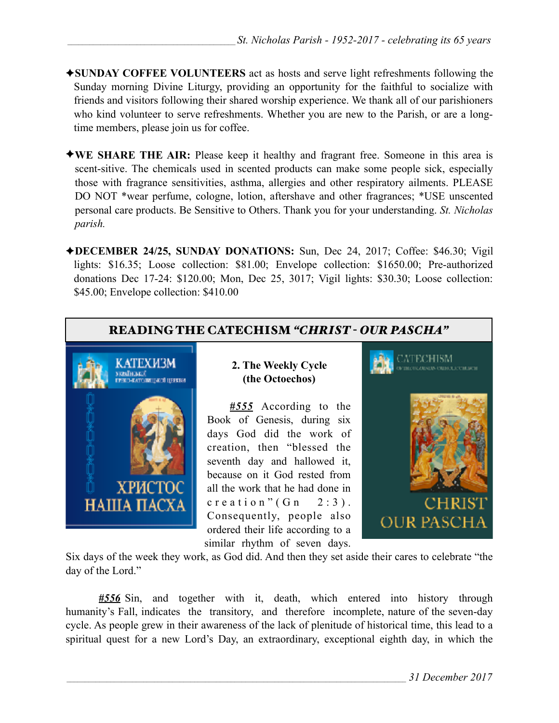- ✦**SUNDAY COFFEE VOLUNTEERS** act as hosts and serve light refreshments following the Sunday morning Divine Liturgy, providing an opportunity for the faithful to socialize with friends and visitors following their shared worship experience. We thank all of our parishioners who kind volunteer to serve refreshments. Whether you are new to the Parish, or are a longtime members, please join us for coffee.
- ✦**WE SHARE THE AIR:** Please keep it healthy and fragrant free. Someone in this area is scent-sitive. The chemicals used in scented products can make some people sick, especially those with fragrance sensitivities, asthma, allergies and other respiratory ailments. PLEASE DO NOT \*wear perfume, cologne, lotion, aftershave and other fragrances; \*USE unscented personal care products. Be Sensitive to Others. Thank you for your understanding. *St. Nicholas parish.*
- ✦**DECEMBER 24/25, SUNDAY DONATIONS:** Sun, Dec 24, 2017; Coffee: \$46.30; Vigil lights: \$16.35; Loose collection: \$81.00; Envelope collection: \$1650.00; Pre-authorized donations Dec 17-24: \$120.00; Mon, Dec 25, 3017; Vigil lights: \$30.30; Loose collection: \$45.00; Envelope collection: \$410.00



*#556* Sin, and together with it, death, which entered into history through humanity's Fall, indicates the transitory, and therefore incomplete, nature of the seven-day cycle. As people grew in their awareness of the lack of plenitude of historical time, this lead to a spiritual quest for a new Lord's Day, an extraordinary, exceptional eighth day, in which the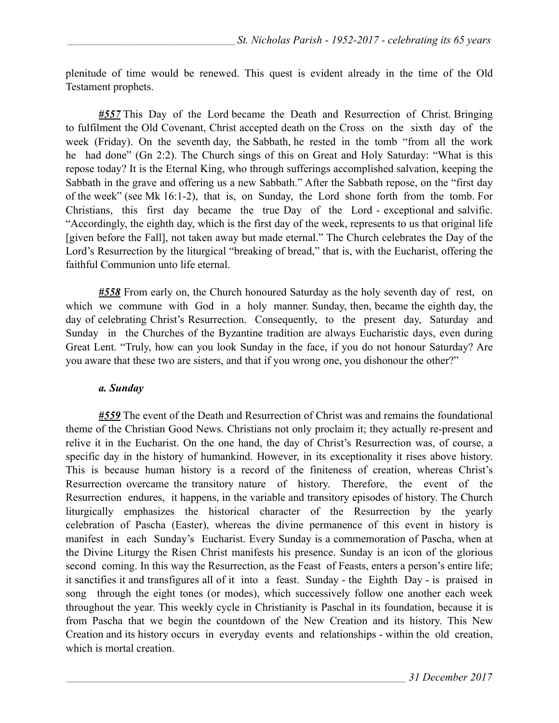plenitude of time would be renewed. This quest is evident already in the time of the Old Testament prophets.

*#557* This Day of the Lord became the Death and Resurrection of Christ. Bringing to fulfilment the Old Covenant, Christ accepted death on the Cross on the sixth day of the week (Friday). On the seventh day, the Sabbath, he rested in the tomb "from all the work he had done" (Gn 2:2). The Church sings of this on Great and Holy Saturday: "What is this repose today? It is the Eternal King, who through sufferings accomplished salvation, keeping the Sabbath in the grave and offering us a new Sabbath." After the Sabbath repose, on the "first day of the week" (see Mk 16:1-2), that is, on Sunday, the Lord shone forth from the tomb. For Christians, this first day became the true Day of the Lord - exceptional and salvific. "Accordingly, the eighth day, which is the first day of the week, represents to us that original life [given before the Fall], not taken away but made eternal." The Church celebrates the Day of the Lord's Resurrection by the liturgical "breaking of bread," that is, with the Eucharist, offering the faithful Communion unto life eternal.

*#558* From early on, the Church honoured Saturday as the holy seventh day of rest, on which we commune with God in a holy manner. Sunday, then, became the eighth day, the day of celebrating Christ's Resurrection. Consequently, to the present day, Saturday and Sunday in the Churches of the Byzantine tradition are always Eucharistic days, even during Great Lent. "Truly, how can you look Sunday in the face, if you do not honour Saturday? Are you aware that these two are sisters, and that if you wrong one, you dishonour the other?"

#### *a. Sunday*

*#559* The event of the Death and Resurrection of Christ was and remains the foundational theme of the Christian Good News. Christians not only proclaim it; they actually re-present and relive it in the Eucharist. On the one hand, the day of Christ's Resurrection was, of course, a specific day in the history of humankind. However, in its exceptionality it rises above history. This is because human history is a record of the finiteness of creation, whereas Christ's Resurrection overcame the transitory nature of history. Therefore, the event of the Resurrection endures, it happens, in the variable and transitory episodes of history. The Church liturgically emphasizes the historical character of the Resurrection by the yearly celebration of Pascha (Easter), whereas the divine permanence of this event in history is manifest in each Sunday's Eucharist. Every Sunday is a commemoration of Pascha, when at the Divine Liturgy the Risen Christ manifests his presence. Sunday is an icon of the glorious second coming. In this way the Resurrection, as the Feast of Feasts, enters a person's entire life; it sanctifies it and transfigures all of it into a feast. Sunday - the Eighth Day - is praised in song through the eight tones (or modes), which successively follow one another each week throughout the year. This weekly cycle in Christianity is Paschal in its foundation, because it is from Pascha that we begin the countdown of the New Creation and its history. This New Creation and its history occurs in everyday events and relationships - within the old creation, which is mortal creation.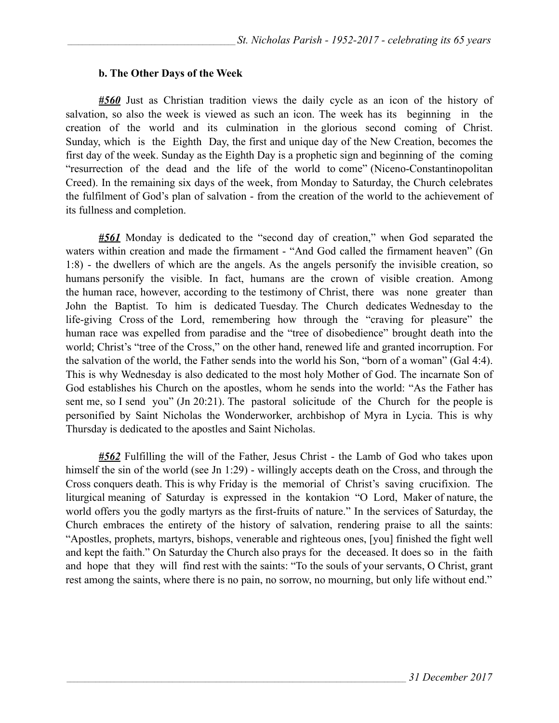#### **b. The Other Days of the Week**

*#560* Just as Christian tradition views the daily cycle as an icon of the history of salvation, so also the week is viewed as such an icon. The week has its beginning in the creation of the world and its culmination in the glorious second coming of Christ. Sunday, which is the Eighth Day, the first and unique day of the New Creation, becomes the first day of the week. Sunday as the Eighth Day is a prophetic sign and beginning of the coming "resurrection of the dead and the life of the world to come" (Niceno-Constantinopolitan Creed). In the remaining six days of the week, from Monday to Saturday, the Church celebrates the fulfilment of God's plan of salvation - from the creation of the world to the achievement of its fullness and completion.

*#561* Monday is dedicated to the "second day of creation," when God separated the waters within creation and made the firmament - "And God called the firmament heaven" (Gn 1:8) - the dwellers of which are the angels. As the angels personify the invisible creation, so humans personify the visible. In fact, humans are the crown of visible creation. Among the human race, however, according to the testimony of Christ, there was none greater than John the Baptist. To him is dedicated Tuesday. The Church dedicates Wednesday to the life-giving Cross of the Lord, remembering how through the "craving for pleasure" the human race was expelled from paradise and the "tree of disobedience" brought death into the world; Christ's "tree of the Cross," on the other hand, renewed life and granted incorruption. For the salvation of the world, the Father sends into the world his Son, "born of a woman" (Gal 4:4). This is why Wednesday is also dedicated to the most holy Mother of God. The incarnate Son of God establishes his Church on the apostles, whom he sends into the world: "As the Father has sent me, so I send you" (Jn 20:21). The pastoral solicitude of the Church for the people is personified by Saint Nicholas the Wonderworker, archbishop of Myra in Lycia. This is why Thursday is dedicated to the apostles and Saint Nicholas.

*#562* Fulfilling the will of the Father, Jesus Christ - the Lamb of God who takes upon himself the sin of the world (see Jn 1:29) - willingly accepts death on the Cross, and through the Cross conquers death. This is why Friday is the memorial of Christ's saving crucifixion. The liturgical meaning of Saturday is expressed in the kontakion "O Lord, Maker of nature, the world offers you the godly martyrs as the first-fruits of nature." In the services of Saturday, the Church embraces the entirety of the history of salvation, rendering praise to all the saints: "Apostles, prophets, martyrs, bishops, venerable and righteous ones, [you] finished the fight well and kept the faith." On Saturday the Church also prays for the deceased. It does so in the faith and hope that they will find rest with the saints: "To the souls of your servants, O Christ, grant rest among the saints, where there is no pain, no sorrow, no mourning, but only life without end."